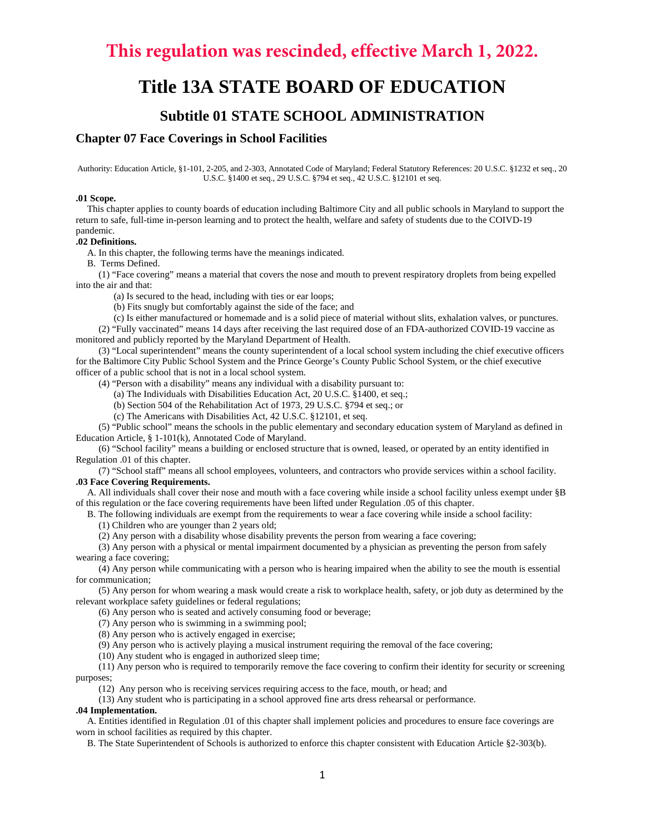# **This regulation was rescinded, effective March 1, 2022.**

# **Title 13A STATE BOARD OF EDUCATION**

## **Subtitle 01 STATE SCHOOL ADMINISTRATION**

### **Chapter 07 Face Coverings in School Facilities**

Authority: Education Article, §1-101, 2-205, and 2-303, Annotated Code of Maryland; Federal Statutory References: 20 U.S.C. §1232 et seq., 20 U.S.C. §1400 et seq., 29 U.S.C. §794 et seq., 42 U.S.C. §12101 et seq.

#### **.01 Scope.**

This chapter applies to county boards of education including Baltimore City and all public schools in Maryland to support the return to safe, full-time in-person learning and to protect the health, welfare and safety of students due to the COIVD-19 pandemic.

#### **.02 Definitions.**

A. In this chapter, the following terms have the meanings indicated.

B. Terms Defined.

(1) "Face covering" means a material that covers the nose and mouth to prevent respiratory droplets from being expelled into the air and that:

(a) Is secured to the head, including with ties or ear loops;

(b) Fits snugly but comfortably against the side of the face; and

(c) Is either manufactured or homemade and is a solid piece of material without slits, exhalation valves, or punctures.

(2) "Fully vaccinated" means 14 days after receiving the last required dose of an FDA-authorized COVID-19 vaccine as monitored and publicly reported by the Maryland Department of Health.

(3) "Local superintendent" means the county superintendent of a local school system including the chief executive officers for the Baltimore City Public School System and the Prince George's County Public School System, or the chief executive officer of a public school that is not in a local school system.

(4) "Person with a disability" means any individual with a disability pursuant to:

(a) The Individuals with Disabilities Education Act, 20 U.S.C. §1400, et seq.;

(b) Section 504 of the Rehabilitation Act of 1973, 29 U.S.C. §794 et seq.; or

(c) The Americans with Disabilities Act, 42 U.S.C. §12101, et seq.

(5) "Public school" means the schools in the public elementary and secondary education system of Maryland as defined in Education Article, § 1-101(k), Annotated Code of Maryland.

(6) "School facility" means a building or enclosed structure that is owned, leased, or operated by an entity identified in Regulation .01 of this chapter.

(7) "School staff" means all school employees, volunteers, and contractors who provide services within a school facility. **.03 Face Covering Requirements.**

A. All individuals shall cover their nose and mouth with a face covering while inside a school facility unless exempt under §B of this regulation or the face covering requirements have been lifted under Regulation .05 of this chapter.

B. The following individuals are exempt from the requirements to wear a face covering while inside a school facility:

(1) Children who are younger than 2 years old;

(2) Any person with a disability whose disability prevents the person from wearing a face covering;

(3) Any person with a physical or mental impairment documented by a physician as preventing the person from safely wearing a face covering;

(4) Any person while communicating with a person who is hearing impaired when the ability to see the mouth is essential for communication;

(5) Any person for whom wearing a mask would create a risk to workplace health, safety, or job duty as determined by the relevant workplace safety guidelines or federal regulations;

(6) Any person who is seated and actively consuming food or beverage;

(7) Any person who is swimming in a swimming pool;

(8) Any person who is actively engaged in exercise;

(9) Any person who is actively playing a musical instrument requiring the removal of the face covering;

(10) Any student who is engaged in authorized sleep time;

(11) Any person who is required to temporarily remove the face covering to confirm their identity for security or screening purposes;

(12) Any person who is receiving services requiring access to the face, mouth, or head; and

(13) Any student who is participating in a school approved fine arts dress rehearsal or performance.

#### **.04 Implementation.**

A. Entities identified in Regulation .01 of this chapter shall implement policies and procedures to ensure face coverings are worn in school facilities as required by this chapter.

B. The State Superintendent of Schools is authorized to enforce this chapter consistent with Education Article §2-303(b).